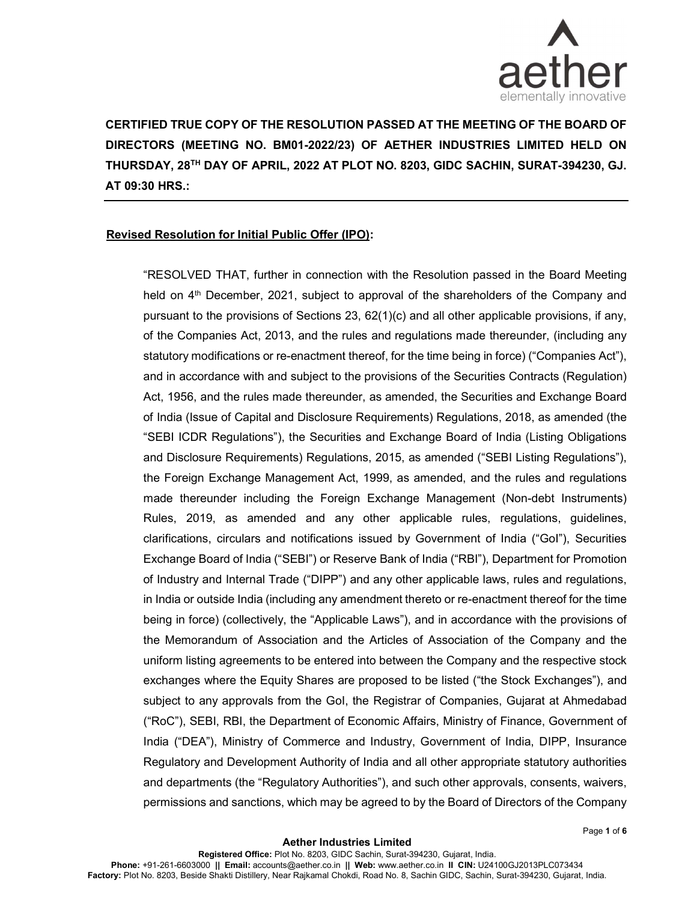

CERTIFIED TRUE COPY OF THE RESOLUTION PASSED AT THE MEETING OF THE BOARD OF DIRECTORS (MEETING NO. BM01-2022/23) OF AETHER INDUSTRIES LIMITED HELD ON THURSDAY, 28TH DAY OF APRIL, 2022 AT PLOT NO. 8203, GIDC SACHIN, SURAT-394230, GJ. AT 09:30 HRS.:

## Revised Resolution for Initial Public Offer (IPO):

"RESOLVED THAT, further in connection with the Resolution passed in the Board Meeting held on  $4<sup>th</sup>$  December, 2021, subject to approval of the shareholders of the Company and pursuant to the provisions of Sections 23, 62(1)(c) and all other applicable provisions, if any, of the Companies Act, 2013, and the rules and regulations made thereunder, (including any statutory modifications or re-enactment thereof, for the time being in force) ("Companies Act"), and in accordance with and subject to the provisions of the Securities Contracts (Regulation) Act, 1956, and the rules made thereunder, as amended, the Securities and Exchange Board of India (Issue of Capital and Disclosure Requirements) Regulations, 2018, as amended (the "SEBI ICDR Regulations"), the Securities and Exchange Board of India (Listing Obligations and Disclosure Requirements) Regulations, 2015, as amended ("SEBI Listing Regulations"), the Foreign Exchange Management Act, 1999, as amended, and the rules and regulations made thereunder including the Foreign Exchange Management (Non-debt Instruments) Rules, 2019, as amended and any other applicable rules, regulations, guidelines, clarifications, circulars and notifications issued by Government of India ("GoI"), Securities Exchange Board of India ("SEBI") or Reserve Bank of India ("RBI"), Department for Promotion of Industry and Internal Trade ("DIPP") and any other applicable laws, rules and regulations, in India or outside India (including any amendment thereto or re-enactment thereof for the time being in force) (collectively, the "Applicable Laws"), and in accordance with the provisions of the Memorandum of Association and the Articles of Association of the Company and the uniform listing agreements to be entered into between the Company and the respective stock exchanges where the Equity Shares are proposed to be listed ("the Stock Exchanges"), and subject to any approvals from the GoI, the Registrar of Companies, Gujarat at Ahmedabad ("RoC"), SEBI, RBI, the Department of Economic Affairs, Ministry of Finance, Government of India ("DEA"), Ministry of Commerce and Industry, Government of India, DIPP, Insurance Regulatory and Development Authority of India and all other appropriate statutory authorities and departments (the "Regulatory Authorities"), and such other approvals, consents, waivers, permissions and sanctions, which may be agreed to by the Board of Directors of the Company

Page 1 of 6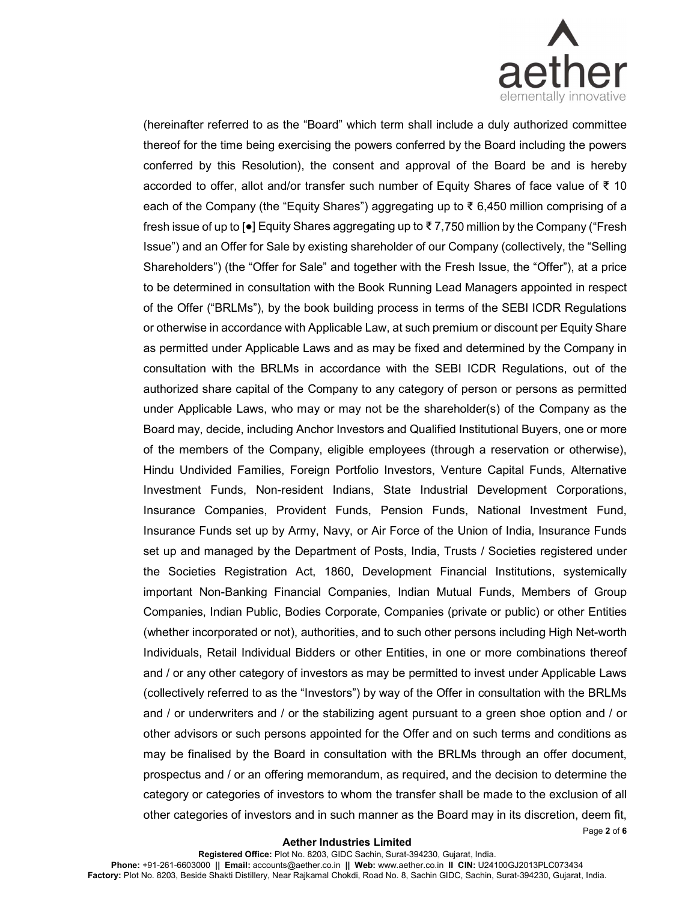

(hereinafter referred to as the "Board" which term shall include a duly authorized committee thereof for the time being exercising the powers conferred by the Board including the powers conferred by this Resolution), the consent and approval of the Board be and is hereby accorded to offer, allot and/or transfer such number of Equity Shares of face value of ₹ 10 each of the Company (the "Equity Shares") aggregating up to ₹ 6,450 million comprising of a fresh issue of up to [●] Equity Shares aggregating up to ₹ 7,750 million by the Company ("Fresh Issue") and an Offer for Sale by existing shareholder of our Company (collectively, the "Selling Shareholders") (the "Offer for Sale" and together with the Fresh Issue, the "Offer"), at a price to be determined in consultation with the Book Running Lead Managers appointed in respect of the Offer ("BRLMs"), by the book building process in terms of the SEBI ICDR Regulations or otherwise in accordance with Applicable Law, at such premium or discount per Equity Share as permitted under Applicable Laws and as may be fixed and determined by the Company in consultation with the BRLMs in accordance with the SEBI ICDR Regulations, out of the authorized share capital of the Company to any category of person or persons as permitted under Applicable Laws, who may or may not be the shareholder(s) of the Company as the Board may, decide, including Anchor Investors and Qualified Institutional Buyers, one or more of the members of the Company, eligible employees (through a reservation or otherwise), Hindu Undivided Families, Foreign Portfolio Investors, Venture Capital Funds, Alternative Investment Funds, Non-resident Indians, State Industrial Development Corporations, Insurance Companies, Provident Funds, Pension Funds, National Investment Fund, Insurance Funds set up by Army, Navy, or Air Force of the Union of India, Insurance Funds set up and managed by the Department of Posts, India, Trusts / Societies registered under the Societies Registration Act, 1860, Development Financial Institutions, systemically important Non-Banking Financial Companies, Indian Mutual Funds, Members of Group Companies, Indian Public, Bodies Corporate, Companies (private or public) or other Entities (whether incorporated or not), authorities, and to such other persons including High Net-worth Individuals, Retail Individual Bidders or other Entities, in one or more combinations thereof and / or any other category of investors as may be permitted to invest under Applicable Laws (collectively referred to as the "Investors") by way of the Offer in consultation with the BRLMs and / or underwriters and / or the stabilizing agent pursuant to a green shoe option and / or other advisors or such persons appointed for the Offer and on such terms and conditions as may be finalised by the Board in consultation with the BRLMs through an offer document, prospectus and / or an offering memorandum, as required, and the decision to determine the category or categories of investors to whom the transfer shall be made to the exclusion of all other categories of investors and in such manner as the Board may in its discretion, deem fit,

## Aether Industries Limited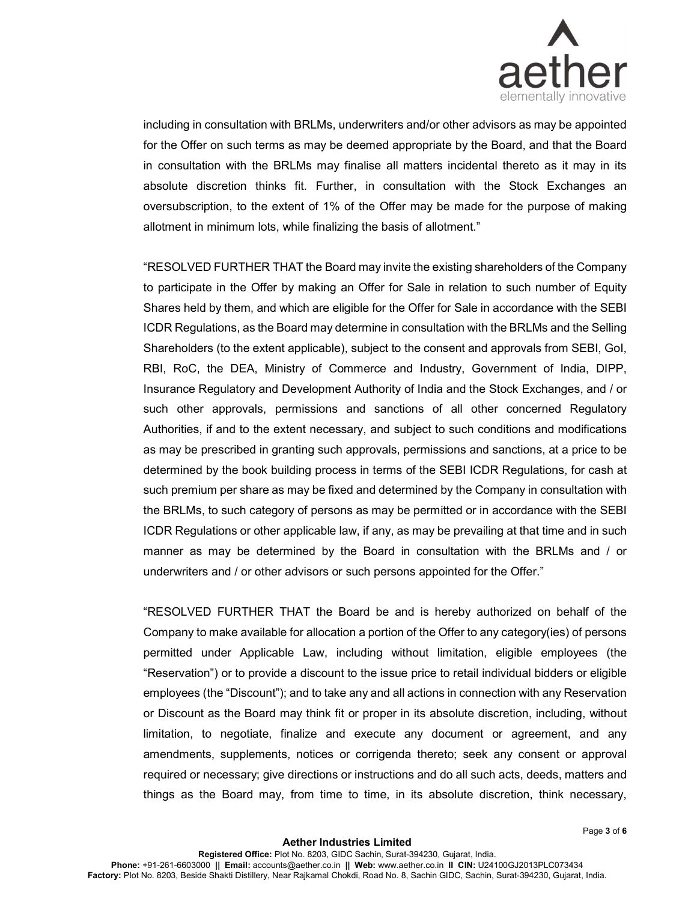

including in consultation with BRLMs, underwriters and/or other advisors as may be appointed for the Offer on such terms as may be deemed appropriate by the Board, and that the Board in consultation with the BRLMs may finalise all matters incidental thereto as it may in its absolute discretion thinks fit. Further, in consultation with the Stock Exchanges an oversubscription, to the extent of 1% of the Offer may be made for the purpose of making allotment in minimum lots, while finalizing the basis of allotment."

"RESOLVED FURTHER THAT the Board may invite the existing shareholders of the Company to participate in the Offer by making an Offer for Sale in relation to such number of Equity Shares held by them, and which are eligible for the Offer for Sale in accordance with the SEBI ICDR Regulations, as the Board may determine in consultation with the BRLMs and the Selling Shareholders (to the extent applicable), subject to the consent and approvals from SEBI, GoI, RBI, RoC, the DEA, Ministry of Commerce and Industry, Government of India, DIPP, Insurance Regulatory and Development Authority of India and the Stock Exchanges, and / or such other approvals, permissions and sanctions of all other concerned Regulatory Authorities, if and to the extent necessary, and subject to such conditions and modifications as may be prescribed in granting such approvals, permissions and sanctions, at a price to be determined by the book building process in terms of the SEBI ICDR Regulations, for cash at such premium per share as may be fixed and determined by the Company in consultation with the BRLMs, to such category of persons as may be permitted or in accordance with the SEBI ICDR Regulations or other applicable law, if any, as may be prevailing at that time and in such manner as may be determined by the Board in consultation with the BRLMs and / or underwriters and / or other advisors or such persons appointed for the Offer."

"RESOLVED FURTHER THAT the Board be and is hereby authorized on behalf of the Company to make available for allocation a portion of the Offer to any category(ies) of persons permitted under Applicable Law, including without limitation, eligible employees (the "Reservation") or to provide a discount to the issue price to retail individual bidders or eligible employees (the "Discount"); and to take any and all actions in connection with any Reservation or Discount as the Board may think fit or proper in its absolute discretion, including, without limitation, to negotiate, finalize and execute any document or agreement, and any amendments, supplements, notices or corrigenda thereto; seek any consent or approval required or necessary; give directions or instructions and do all such acts, deeds, matters and things as the Board may, from time to time, in its absolute discretion, think necessary,

Page 3 of 6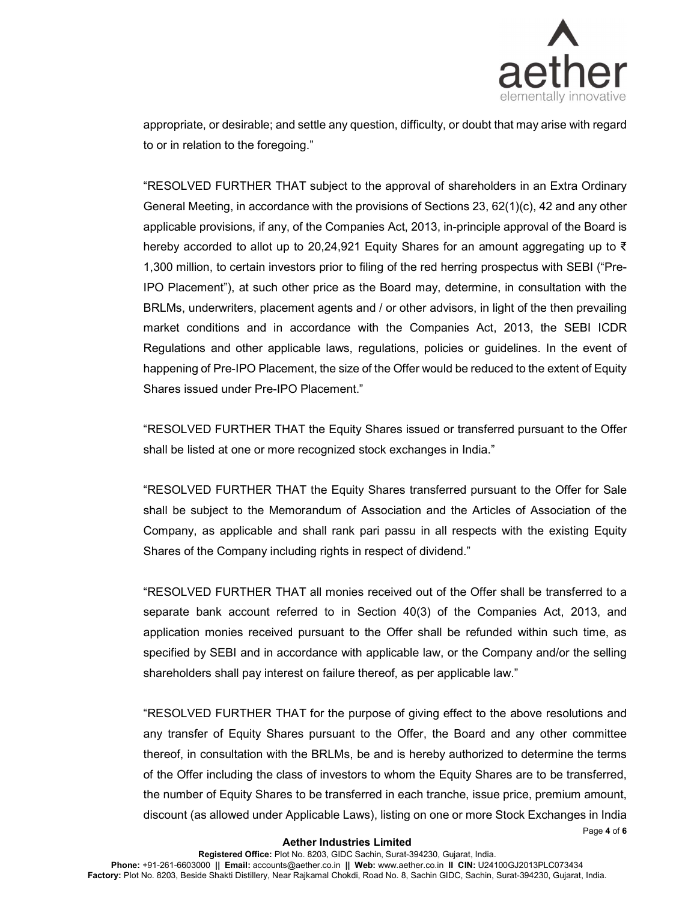

Page 4 of 6

appropriate, or desirable; and settle any question, difficulty, or doubt that may arise with regard to or in relation to the foregoing."

"RESOLVED FURTHER THAT subject to the approval of shareholders in an Extra Ordinary General Meeting, in accordance with the provisions of Sections 23, 62(1)(c), 42 and any other applicable provisions, if any, of the Companies Act, 2013, in-principle approval of the Board is hereby accorded to allot up to 20,24,921 Equity Shares for an amount aggregating up to ₹ 1,300 million, to certain investors prior to filing of the red herring prospectus with SEBI ("Pre-IPO Placement"), at such other price as the Board may, determine, in consultation with the BRLMs, underwriters, placement agents and / or other advisors, in light of the then prevailing market conditions and in accordance with the Companies Act, 2013, the SEBI ICDR Regulations and other applicable laws, regulations, policies or guidelines. In the event of happening of Pre-IPO Placement, the size of the Offer would be reduced to the extent of Equity Shares issued under Pre-IPO Placement."

"RESOLVED FURTHER THAT the Equity Shares issued or transferred pursuant to the Offer shall be listed at one or more recognized stock exchanges in India."

"RESOLVED FURTHER THAT the Equity Shares transferred pursuant to the Offer for Sale shall be subject to the Memorandum of Association and the Articles of Association of the Company, as applicable and shall rank pari passu in all respects with the existing Equity Shares of the Company including rights in respect of dividend."

"RESOLVED FURTHER THAT all monies received out of the Offer shall be transferred to a separate bank account referred to in Section 40(3) of the Companies Act, 2013, and application monies received pursuant to the Offer shall be refunded within such time, as specified by SEBI and in accordance with applicable law, or the Company and/or the selling shareholders shall pay interest on failure thereof, as per applicable law."

"RESOLVED FURTHER THAT for the purpose of giving effect to the above resolutions and any transfer of Equity Shares pursuant to the Offer, the Board and any other committee thereof, in consultation with the BRLMs, be and is hereby authorized to determine the terms of the Offer including the class of investors to whom the Equity Shares are to be transferred, the number of Equity Shares to be transferred in each tranche, issue price, premium amount, discount (as allowed under Applicable Laws), listing on one or more Stock Exchanges in India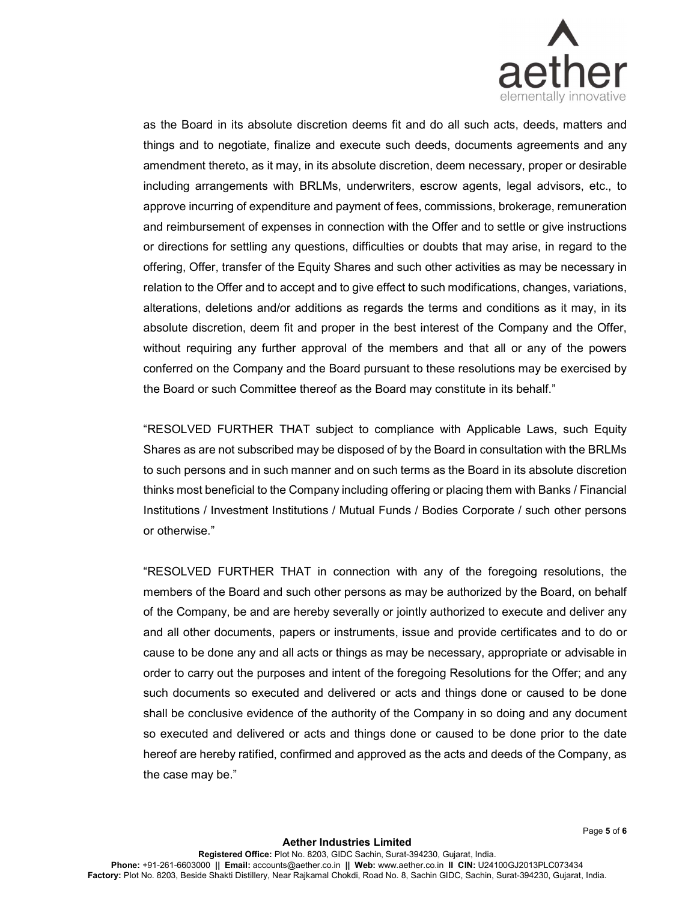

as the Board in its absolute discretion deems fit and do all such acts, deeds, matters and things and to negotiate, finalize and execute such deeds, documents agreements and any amendment thereto, as it may, in its absolute discretion, deem necessary, proper or desirable including arrangements with BRLMs, underwriters, escrow agents, legal advisors, etc., to approve incurring of expenditure and payment of fees, commissions, brokerage, remuneration and reimbursement of expenses in connection with the Offer and to settle or give instructions or directions for settling any questions, difficulties or doubts that may arise, in regard to the offering, Offer, transfer of the Equity Shares and such other activities as may be necessary in relation to the Offer and to accept and to give effect to such modifications, changes, variations, alterations, deletions and/or additions as regards the terms and conditions as it may, in its absolute discretion, deem fit and proper in the best interest of the Company and the Offer, without requiring any further approval of the members and that all or any of the powers conferred on the Company and the Board pursuant to these resolutions may be exercised by the Board or such Committee thereof as the Board may constitute in its behalf."

"RESOLVED FURTHER THAT subject to compliance with Applicable Laws, such Equity Shares as are not subscribed may be disposed of by the Board in consultation with the BRLMs to such persons and in such manner and on such terms as the Board in its absolute discretion thinks most beneficial to the Company including offering or placing them with Banks / Financial Institutions / Investment Institutions / Mutual Funds / Bodies Corporate / such other persons or otherwise."

"RESOLVED FURTHER THAT in connection with any of the foregoing resolutions, the members of the Board and such other persons as may be authorized by the Board, on behalf of the Company, be and are hereby severally or jointly authorized to execute and deliver any and all other documents, papers or instruments, issue and provide certificates and to do or cause to be done any and all acts or things as may be necessary, appropriate or advisable in order to carry out the purposes and intent of the foregoing Resolutions for the Offer; and any such documents so executed and delivered or acts and things done or caused to be done shall be conclusive evidence of the authority of the Company in so doing and any document so executed and delivered or acts and things done or caused to be done prior to the date hereof are hereby ratified, confirmed and approved as the acts and deeds of the Company, as the case may be."

Page 5 of 6